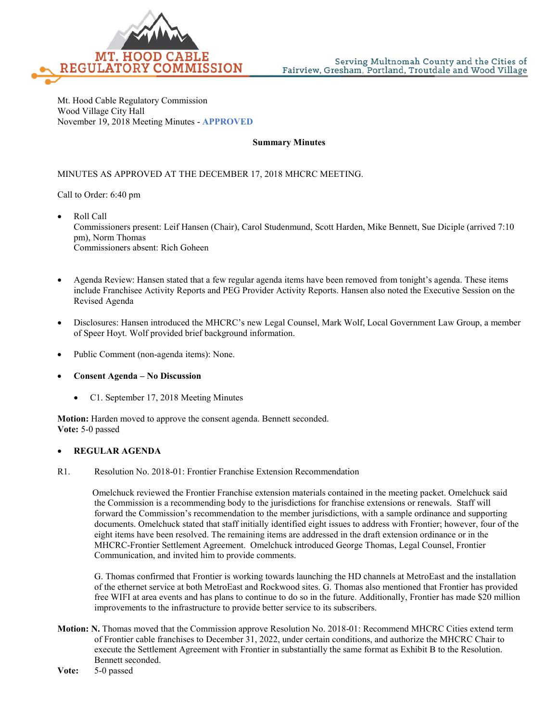

Mt. Hood Cable Regulatory Commission Wood Village City Hall November 19, 2018 Meeting Minutes - **APPROVED**

## **Summary Minutes**

## MINUTES AS APPROVED AT THE DECEMBER 17, 2018 MHCRC MEETING.

Call to Order: 6:40 pm

- Roll Call Commissioners present: Leif Hansen (Chair), Carol Studenmund, Scott Harden, Mike Bennett, Sue Diciple (arrived 7:10 pm), Norm Thomas Commissioners absent: Rich Goheen
- Agenda Review: Hansen stated that a few regular agenda items have been removed from tonight's agenda. These items include Franchisee Activity Reports and PEG Provider Activity Reports. Hansen also noted the Executive Session on the Revised Agenda
- Disclosures: Hansen introduced the MHCRC's new Legal Counsel, Mark Wolf, Local Government Law Group, a member of Speer Hoyt. Wolf provided brief background information.
- Public Comment (non-agenda items): None.
- **Consent Agenda – No Discussion**
	- C1. September 17, 2018 Meeting Minutes

**Motion:** Harden moved to approve the consent agenda. Bennett seconded. **Vote:** 5-0 passed

## • **REGULAR AGENDA**

R1. Resolution No. 2018-01: Frontier Franchise Extension Recommendation

Omelchuck reviewed the Frontier Franchise extension materials contained in the meeting packet. Omelchuck said the Commission is a recommending body to the jurisdictions for franchise extensions or renewals. Staff will forward the Commission's recommendation to the member jurisdictions, with a sample ordinance and supporting documents. Omelchuck stated that staff initially identified eight issues to address with Frontier; however, four of the eight items have been resolved. The remaining items are addressed in the draft extension ordinance or in the MHCRC-Frontier Settlement Agreement. Omelchuck introduced George Thomas, Legal Counsel, Frontier Communication, and invited him to provide comments.

G. Thomas confirmed that Frontier is working towards launching the HD channels at MetroEast and the installation of the ethernet service at both MetroEast and Rockwood sites. G. Thomas also mentioned that Frontier has provided free WIFI at area events and has plans to continue to do so in the future. Additionally, Frontier has made \$20 million improvements to the infrastructure to provide better service to its subscribers.

- **Motion: N.** Thomas moved that the Commission approve Resolution No. 2018-01: Recommend MHCRC Cities extend term of Frontier cable franchises to December 31, 2022, under certain conditions, and authorize the MHCRC Chair to execute the Settlement Agreement with Frontier in substantially the same format as Exhibit B to the Resolution. Bennett seconded.
- **Vote:** 5-0 passed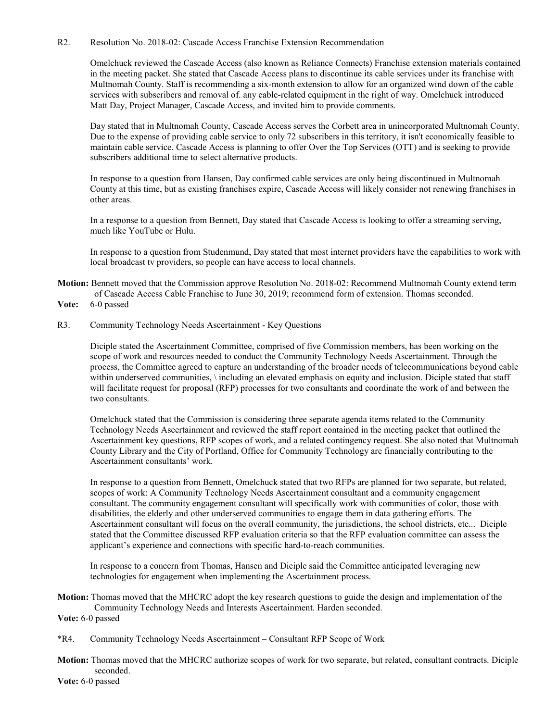## R2. Resolution No. 2018-02: Cascade Access Franchise Extension Recommendation

Omelchuck reviewed the Cascade Access (also known as Reliance Connects) Franchise extension materials contained in the meeting packet. She stated that Cascade Access plans to discontinue its cable services under its franchise with Multnomah County. Staff is recommending a six-month extension to allow for an organized wind down of the cable services with subscribers and removal of. any cable-related equipment in the right of way. Omelchuck introduced Matt Day, Project Manager, Cascade Access, and invited him to provide comments.

Day stated that in Multnomah County, Cascade Access serves the Corbett area in unincorporated Multnomah County. Due to the expense of providing cable service to only 72 subscribers in this territory, it isn't economically feasible to maintain cable service. Cascade Access is planning to offer Over the Top Services (OTT) and is seeking to provide subscribers additional time to select alternative products.

In response to a question from Hansen, Day confirmed cable services are only being discontinued in Multnomah County at this time, but as existing franchises expire, Cascade Access will likely consider not renewing franchises in other areas.

In a response to a question from Bennett, Day stated that Cascade Access is looking to offer a streaming serving, much like YouTube or Hulu.

In response to a question from Studenmund, Day stated that most internet providers have the capabilities to work with local broadcast tv providers, so people can have access to local channels.

- **Motion:** Bennett moved that the Commission approve Resolution No. 2018-02: Recommend Multnomah County extend term of Cascade Access Cable Franchise to June 30, 2019; recommend form of extension. Thomas seconded.
- **Vote:** 6-0 passed
- R3. Community Technology Needs Ascertainment Key Questions

Diciple stated the Ascertainment Committee, comprised of five Commission members, has been working on the scope of work and resources needed to conduct the Community Technology Needs Ascertainment. Through the process, the Committee agreed to capture an understanding of the broader needs of telecommunications beyond cable within underserved communities, \ including an elevated emphasis on equity and inclusion. Diciple stated that staff will facilitate request for proposal (RFP) processes for two consultants and coordinate the work of and between the two consultants.

Omelchuck stated that the Commission is considering three separate agenda items related to the Community Technology Needs Ascertainment and reviewed the staff report contained in the meeting packet that outlined the Ascertainment key questions, RFP scopes of work, and a related contingency request. She also noted that Multnomah County Library and the City of Portland, Office for Community Technology are financially contributing to the Ascertainment consultants' work.

In response to a question from Bennett, Omelchuck stated that two RFPs are planned for two separate, but related, scopes of work: A Community Technology Needs Ascertainment consultant and a community engagement consultant. The community engagement consultant will specifically work with communities of color, those with disabilities, the elderly and other underserved communities to engage them in data gathering efforts. The Ascertainment consultant will focus on the overall community, the jurisdictions, the school districts, etc... Diciple stated that the Committee discussed RFP evaluation criteria so that the RFP evaluation committee can assess the applicant's experience and connections with specific hard-to-reach communities.

In response to a concern from Thomas, Hansen and Diciple said the Committee anticipated leveraging new technologies for engagement when implementing the Ascertainment process.

**Motion:** Thomas moved that the MHCRC adopt the key research questions to guide the design and implementation of the Community Technology Needs and Interests Ascertainment. Harden seconded.

**Vote:** 6-0 passed

- \*R4. Community Technology Needs Ascertainment Consultant RFP Scope of Work
- **Motion:** Thomas moved that the MHCRC authorize scopes of work for two separate, but related, consultant contracts. Diciple seconded.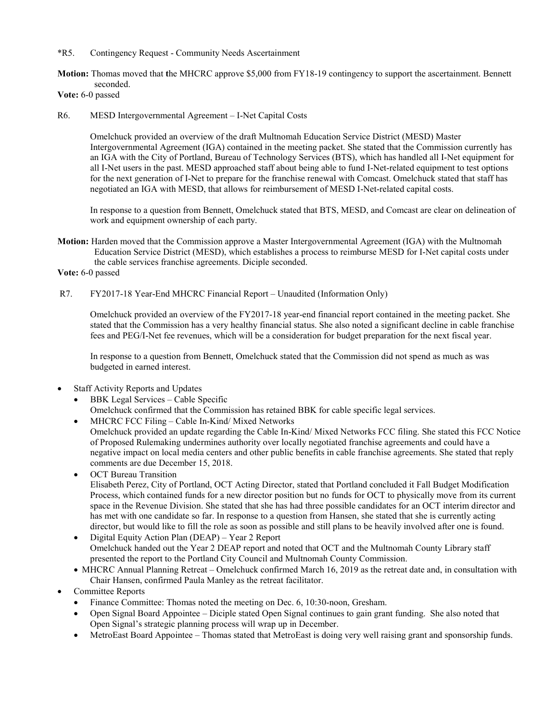\*R5. Contingency Request - Community Needs Ascertainment

**Motion:** Thomas moved that **t**he MHCRC approve \$5,000 from FY18-19 contingency to support the ascertainment. Bennett seconded.

**Vote:** 6-0 passed

R6. MESD Intergovernmental Agreement – I-Net Capital Costs

Omelchuck provided an overview of the draft Multnomah Education Service District (MESD) Master Intergovernmental Agreement (IGA) contained in the meeting packet. She stated that the Commission currently has an IGA with the City of Portland, Bureau of Technology Services (BTS), which has handled all I-Net equipment for all I-Net users in the past. MESD approached staff about being able to fund I-Net-related equipment to test options for the next generation of I-Net to prepare for the franchise renewal with Comcast. Omelchuck stated that staff has negotiated an IGA with MESD, that allows for reimbursement of MESD I-Net-related capital costs.

In response to a question from Bennett, Omelchuck stated that BTS, MESD, and Comcast are clear on delineation of work and equipment ownership of each party.

**Motion:** Harden moved that the Commission approve a Master Intergovernmental Agreement (IGA) with the Multnomah Education Service District (MESD), which establishes a process to reimburse MESD for I-Net capital costs under the cable services franchise agreements. Diciple seconded.

**Vote:** 6-0 passed

R7. FY2017-18 Year-End MHCRC Financial Report – Unaudited (Information Only)

Omelchuck provided an overview of the FY2017-18 year-end financial report contained in the meeting packet. She stated that the Commission has a very healthy financial status. She also noted a significant decline in cable franchise fees and PEG/I-Net fee revenues, which will be a consideration for budget preparation for the next fiscal year.

In response to a question from Bennett, Omelchuck stated that the Commission did not spend as much as was budgeted in earned interest.

- Staff Activity Reports and Updates
	- BBK Legal Services Cable Specific Omelchuck confirmed that the Commission has retained BBK for cable specific legal services.
	- MHCRC FCC Filing Cable In-Kind/ Mixed Networks

Omelchuck provided an update regarding the Cable In-Kind/ Mixed Networks FCC filing. She stated this FCC Notice of Proposed Rulemaking undermines authority over locally negotiated franchise agreements and could have a negative impact on local media centers and other public benefits in cable franchise agreements. She stated that reply comments are due December 15, 2018.

- OCT Bureau Transition Elisabeth Perez, City of Portland, OCT Acting Director, stated that Portland concluded it Fall Budget Modification Process, which contained funds for a new director position but no funds for OCT to physically move from its current space in the Revenue Division. She stated that she has had three possible candidates for an OCT interim director and has met with one candidate so far. In response to a question from Hansen, she stated that she is currently acting director, but would like to fill the role as soon as possible and still plans to be heavily involved after one is found.
- Digital Equity Action Plan (DEAP) Year 2 Report Omelchuck handed out the Year 2 DEAP report and noted that OCT and the Multnomah County Library staff presented the report to the Portland City Council and Multnomah County Commission.
- MHCRC Annual Planning Retreat Omelchuck confirmed March 16, 2019 as the retreat date and, in consultation with Chair Hansen, confirmed Paula Manley as the retreat facilitator.
- Committee Reports
	- Finance Committee: Thomas noted the meeting on Dec. 6, 10:30-noon, Gresham.
	- Open Signal Board Appointee Diciple stated Open Signal continues to gain grant funding. She also noted that Open Signal's strategic planning process will wrap up in December.
	- MetroEast Board Appointee Thomas stated that MetroEast is doing very well raising grant and sponsorship funds.